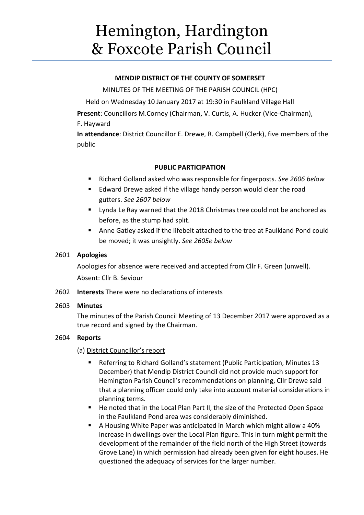# Hemington, Hardington & Foxcote Parish Council

## **MENDIP DISTRICT OF THE COUNTY OF SOMERSET**

MINUTES OF THE MEETING OF THE PARISH COUNCIL (HPC)

Held on Wednesday 10 January 2017 at 19:30 in Faulkland Village Hall

**Present**: Councillors M.Corney (Chairman, V. Curtis, A. Hucker (Vice-Chairman), F. Hayward

**In attendance**: District Councillor E. Drewe, R. Campbell (Clerk), five members of the public

## **PUBLIC PARTICIPATION**

- Richard Golland asked who was responsible for fingerposts. *See 2606 below*
- **E** Edward Drewe asked if the village handy person would clear the road gutters. *See 2607 below*
- **Uynda Le Ray warned that the 2018 Christmas tree could not be anchored as** before, as the stump had split.
- Anne Gatley asked if the lifebelt attached to the tree at Faulkland Pond could be moved; it was unsightly. *See 2605e below*

## 2601 **Apologies**

Apologies for absence were received and accepted from Cllr F. Green (unwell). Absent: Cllr B. Seviour

2602 **Interests** There were no declarations of interests

#### 2603 **Minutes**

The minutes of the Parish Council Meeting of 13 December 2017 were approved as a true record and signed by the Chairman.

## 2604 **Reports**

- (a) District Councillor's report
	- Referring to Richard Golland's statement (Public Participation, Minutes 13 December) that Mendip District Council did not provide much support for Hemington Parish Council's recommendations on planning, Cllr Drewe said that a planning officer could only take into account material considerations in planning terms.
	- He noted that in the Local Plan Part II, the size of the Protected Open Space in the Faulkland Pond area was considerably diminished.
	- A Housing White Paper was anticipated in March which might allow a 40% increase in dwellings over the Local Plan figure. This in turn might permit the development of the remainder of the field north of the High Street (towards Grove Lane) in which permission had already been given for eight houses. He questioned the adequacy of services for the larger number.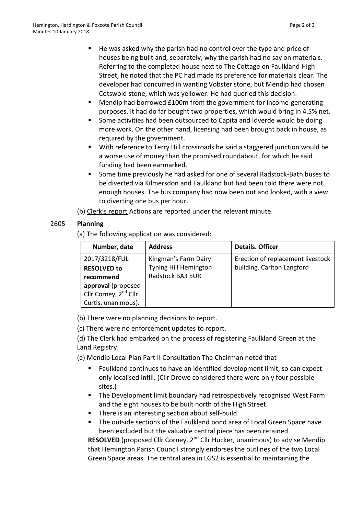- He was asked why the parish had no control over the type and price of houses being built and, separately, why the parish had no say on materials. Referring to the completed house next to The Cottage on Faulkland High Street, he noted that the PC had made its preference for materials clear. The developer had concurred in wanting Vobster stone, but Mendip had chosen Cotswold stone, which was yellower. He had queried this decision.
- Mendip had borrowed £100m from the government for income-generating purposes. It had do far bought two properties, which would bring in 4.5% net.
- Some activities had been outsourced to Capita and Idverde would be doing more work. On the other hand, licensing had been brought back in house, as required by the government.
- With reference to Terry Hill crossroads he said a staggered junction would be a worse use of money than the promised roundabout, for which he said funding had been earmarked.
- Some time previously he had asked for one of several Radstock-Bath buses to be diverted via Kilmersdon and Faulkland but had been told there were not enough houses. The bus company had now been out and looked, with a view to diverting one bus per hour.

(b) Clerk's report Actions are reported under the relevant minute.

# 2605 **Planning**

(a) The following application was considered:

| Number, date                      | <b>Address</b>          | <b>Details. Officer</b>           |
|-----------------------------------|-------------------------|-----------------------------------|
| 2017/3218/FUL                     | Kingman's Farm Dairy    | Erection of replacement livestock |
| <b>RESOLVED to</b>                | Tyning Hill Hemington   | building. Carlton Langford        |
| recommend                         | <b>Radstock BA3 5UR</b> |                                   |
| approval (proposed                |                         |                                   |
| Cllr Corney, 2 <sup>nd</sup> Cllr |                         |                                   |
| Curtis, unanimous).               |                         |                                   |

(b) There were no planning decisions to report.

(c) There were no enforcement updates to report.

(d) The Clerk had embarked on the process of registering Faulkland Green at the Land Registry.

- (e) Mendip Local Plan Part II Consultation The Chairman noted that
	- Faulkland continues to have an identified development limit, so can expect only localised infill. (Cllr Drewe considered there were only four possible sites.)
	- **The Development limit boundary had retrospectively recognised West Farm** and the eight houses to be built north of the High Street.
	- There is an interesting section about self-build.
	- The outside sections of the Faulkland pond area of Local Green Space have been excluded but the valuable central piece has been retained

**RESOLVED** (proposed Cllr Corney, 2<sup>nd</sup> Cllr Hucker, unanimous) to advise Mendip that Hemington Parish Council strongly endorses the outlines of the two Local Green Space areas. The central area in LGS2 is essential to maintaining the